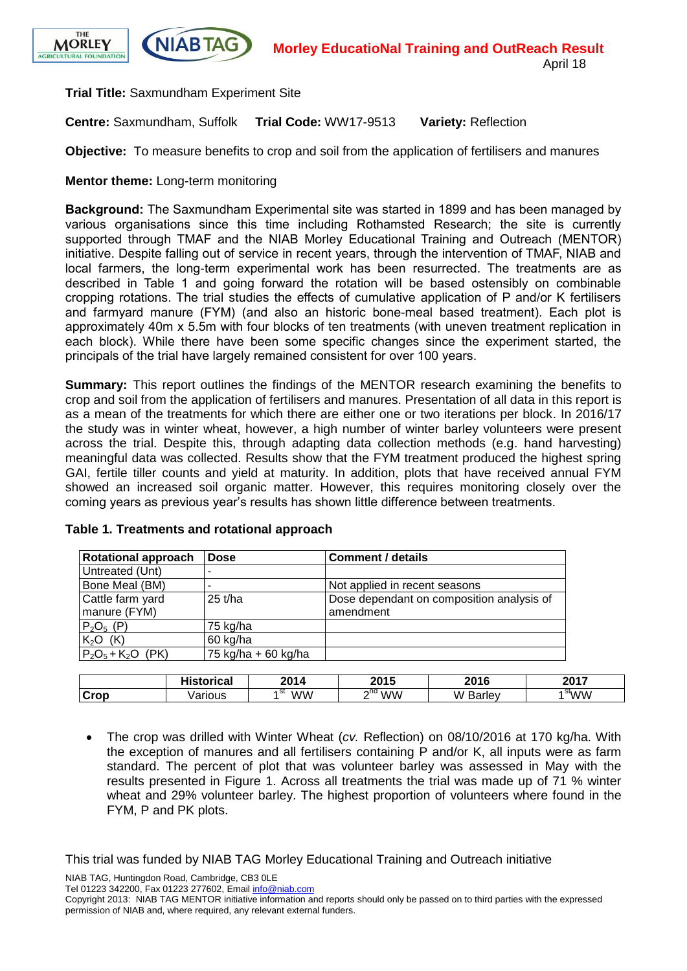



**Trial Title:** Saxmundham Experiment Site

**Centre:** Saxmundham, Suffolk **Trial Code:** WW17-9513 **Variety:** Reflection

**Objective:** To measure benefits to crop and soil from the application of fertilisers and manures

**Mentor theme:** Long-term monitoring

**Background:** The Saxmundham Experimental site was started in 1899 and has been managed by various organisations since this time including Rothamsted Research; the site is currently supported through TMAF and the NIAB Morley Educational Training and Outreach (MENTOR) initiative. Despite falling out of service in recent years, through the intervention of TMAF, NIAB and local farmers, the long-term experimental work has been resurrected. The treatments are as described in Table 1 and going forward the rotation will be based ostensibly on combinable cropping rotations. The trial studies the effects of cumulative application of P and/or K fertilisers and farmyard manure (FYM) (and also an historic bone-meal based treatment). Each plot is approximately 40m x 5.5m with four blocks of ten treatments (with uneven treatment replication in each block). While there have been some specific changes since the experiment started, the principals of the trial have largely remained consistent for over 100 years.

**Summary:** This report outlines the findings of the MENTOR research examining the benefits to crop and soil from the application of fertilisers and manures. Presentation of all data in this report is as a mean of the treatments for which there are either one or two iterations per block. In 2016/17 the study was in winter wheat, however, a high number of winter barley volunteers were present across the trial. Despite this, through adapting data collection methods (e.g. hand harvesting) meaningful data was collected. Results show that the FYM treatment produced the highest spring GAI, fertile tiller counts and yield at maturity. In addition, plots that have received annual FYM showed an increased soil organic matter. However, this requires monitoring closely over the coming years as previous year's results has shown little difference between treatments.

| <b>Rotational approach</b> | <b>Dose</b>         | <b>Comment / details</b>                  |
|----------------------------|---------------------|-------------------------------------------|
| Untreated (Unt)            |                     |                                           |
| Bone Meal (BM)             |                     | Not applied in recent seasons             |
| Cattle farm yard           | $25$ t/ha           | Dose dependant on composition analysis of |
| manure (FYM)               |                     | amendment                                 |
| $P_2O_5(P)$                | 75 kg/ha            |                                           |
| $K2O$ (K)                  | 60 kg/ha            |                                           |
| $P_2O_5 + K_2O$ (PK)       | 75 kg/ha + 60 kg/ha |                                           |

#### **Table 1. Treatments and rotational approach**

|                                   | .<br>.<br>nuai | 0011            | <b>OOAE</b><br>. .<br>ΨJ | 2016 | 2017           |
|-----------------------------------|----------------|-----------------|--------------------------|------|----------------|
| $\mathcal{L}_{\mathsf{r}}$<br>UUW | วนร            | ۷W<br>י ב<br>Λ, | $\sim$ nd<br><b>WW</b>   | M    | ۷W<br>จแ<br>'N |

 The crop was drilled with Winter Wheat (*cv.* Reflection) on 08/10/2016 at 170 kg/ha. With the exception of manures and all fertilisers containing P and/or K, all inputs were as farm standard. The percent of plot that was volunteer barley was assessed in May with the results presented in Figure 1. Across all treatments the trial was made up of 71 % winter wheat and 29% volunteer barley. The highest proportion of volunteers where found in the FYM, P and PK plots.

This trial was funded by NIAB TAG Morley Educational Training and Outreach initiative

NIAB TAG, Huntingdon Road, Cambridge, CB3 0LE

Tel 01223 342200, Fax 01223 277602, Email [info@niab.com](mailto:info@niab.com)

Copyright 2013: NIAB TAG MENTOR initiative information and reports should only be passed on to third parties with the expressed permission of NIAB and, where required, any relevant external funders.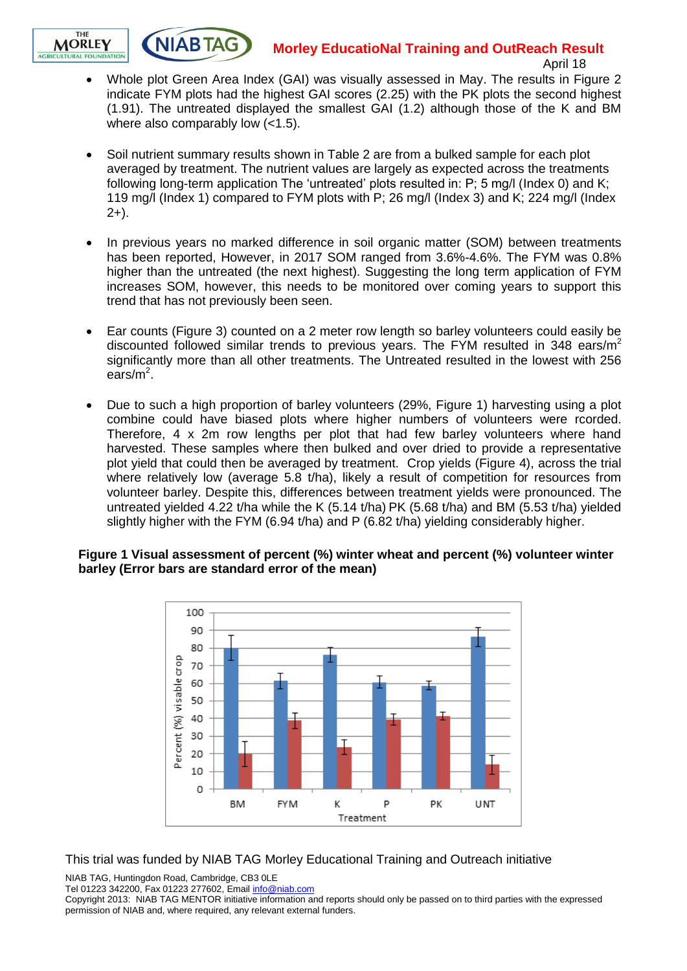## **Morley EducatioNal Training and OutReach Result**



**NIABTAG** 

- April 18
- Whole plot Green Area Index (GAI) was visually assessed in May. The results in Figure 2 indicate FYM plots had the highest GAI scores (2.25) with the PK plots the second highest (1.91). The untreated displayed the smallest GAI (1.2) although those of the K and BM where also comparably low (<1.5).
- Soil nutrient summary results shown in Table 2 are from a bulked sample for each plot averaged by treatment. The nutrient values are largely as expected across the treatments following long-term application The 'untreated' plots resulted in: P; 5 mg/l (Index 0) and K; 119 mg/l (Index 1) compared to FYM plots with P; 26 mg/l (Index 3) and K; 224 mg/l (Index  $2+$ ).
- In previous years no marked difference in soil organic matter (SOM) between treatments has been reported, However, in 2017 SOM ranged from 3.6%-4.6%. The FYM was 0.8% higher than the untreated (the next highest). Suggesting the long term application of FYM increases SOM, however, this needs to be monitored over coming years to support this trend that has not previously been seen.
- Ear counts (Figure 3) counted on a 2 meter row length so barley volunteers could easily be discounted followed similar trends to previous years. The FYM resulted in 348 ears/ $m<sup>2</sup>$ significantly more than all other treatments. The Untreated resulted in the lowest with 256 ears/m<sup>2</sup>.
- Due to such a high proportion of barley volunteers (29%, Figure 1) harvesting using a plot combine could have biased plots where higher numbers of volunteers were rcorded. Therefore, 4 x 2m row lengths per plot that had few barley volunteers where hand harvested. These samples where then bulked and over dried to provide a representative plot yield that could then be averaged by treatment. Crop yields (Figure 4), across the trial where relatively low (average 5.8 t/ha), likely a result of competition for resources from volunteer barley. Despite this, differences between treatment yields were pronounced. The untreated yielded 4.22 t/ha while the K (5.14 t/ha) PK (5.68 t/ha) and BM (5.53 t/ha) yielded slightly higher with the FYM (6.94 t/ha) and P (6.82 t/ha) yielding considerably higher.

#### **Figure 1 Visual assessment of percent (%) winter wheat and percent (%) volunteer winter barley (Error bars are standard error of the mean)**



This trial was funded by NIAB TAG Morley Educational Training and Outreach initiative

NIAB TAG, Huntingdon Road, Cambridge, CB3 0LE

Tel 01223 342200, Fax 01223 277602, Email [info@niab.com](mailto:info@niab.com)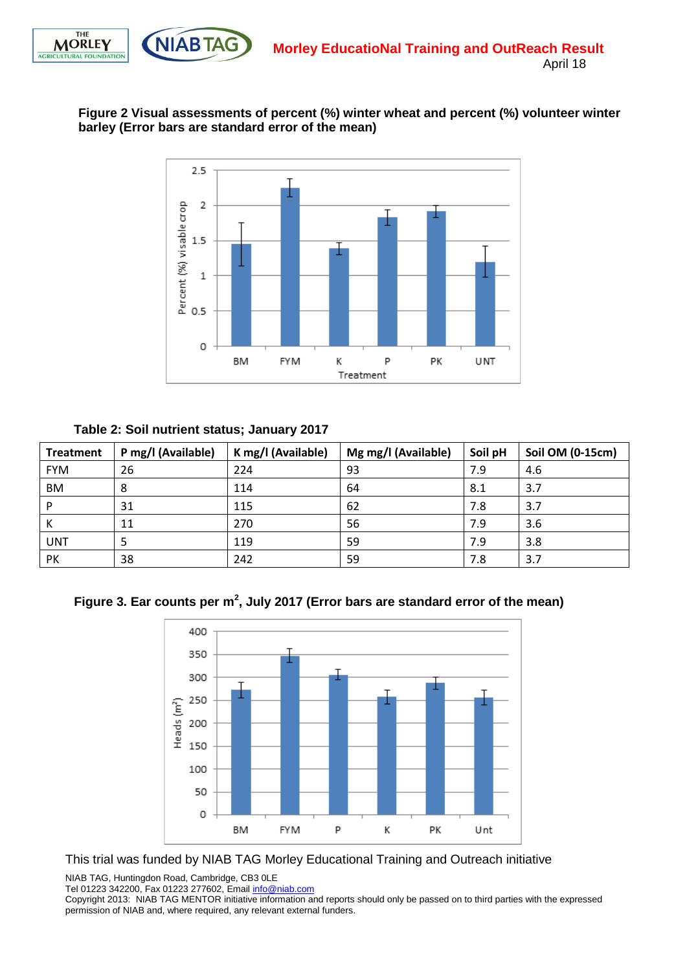



### **Figure 2 Visual assessments of percent (%) winter wheat and percent (%) volunteer winter barley (Error bars are standard error of the mean)**



**Table 2: Soil nutrient status; January 2017**

| <b>Treatment</b> | P mg/l (Available) | K mg/l (Available) | Mg mg/l (Available) | Soil pH | Soil OM (0-15cm) |
|------------------|--------------------|--------------------|---------------------|---------|------------------|
| <b>FYM</b>       | 26                 | 224                | 93                  | 7.9     | 4.6              |
| BM               | 8                  | 114                | 64                  | 8.1     | 3.7              |
| D                | 31                 | 115                | 62                  | 7.8     | 3.7              |
| N                | 11                 | 270                | 56                  | 7.9     | 3.6              |
| <b>UNT</b>       | 5                  | 119                | 59                  | 7.9     | 3.8              |
| PK               | 38                 | 242                | 59                  | 7.8     | 3.7              |

**Figure 3. Ear counts per m<sup>2</sup> , July 2017 (Error bars are standard error of the mean)**



This trial was funded by NIAB TAG Morley Educational Training and Outreach initiative

NIAB TAG, Huntingdon Road, Cambridge, CB3 0LE

Tel 01223 342200, Fax 01223 277602, Email [info@niab.com](mailto:info@niab.com)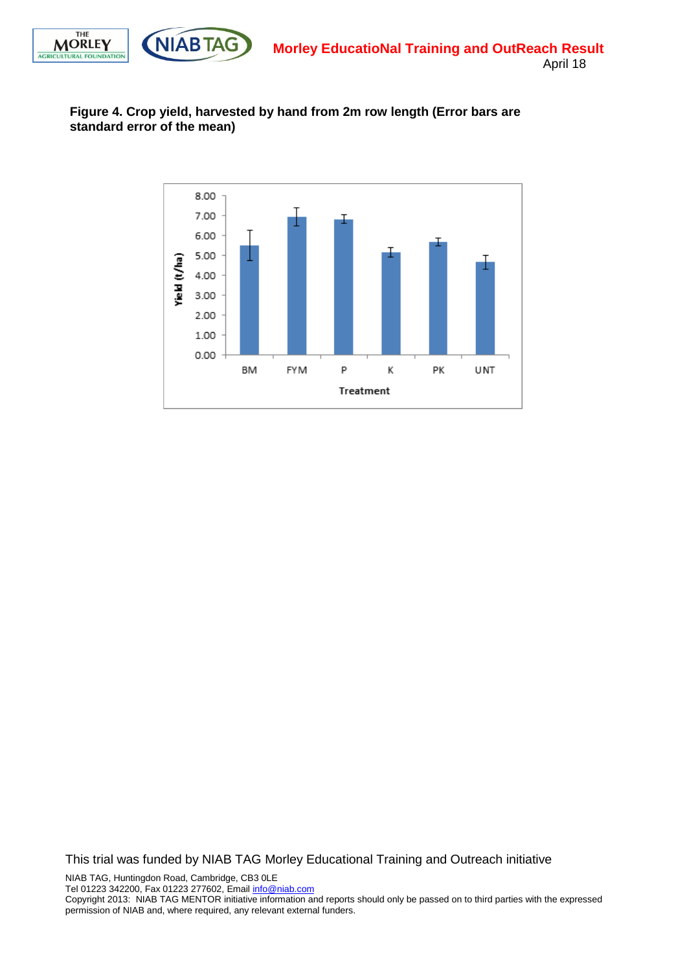



April 18

### **Figure 4. Crop yield, harvested by hand from 2m row length (Error bars are standard error of the mean)**



This trial was funded by NIAB TAG Morley Educational Training and Outreach initiative

NIAB TAG, Huntingdon Road, Cambridge, CB3 0LE Tel 01223 342200, Fax 01223 277602, Email [info@niab.com](mailto:info@niab.com)